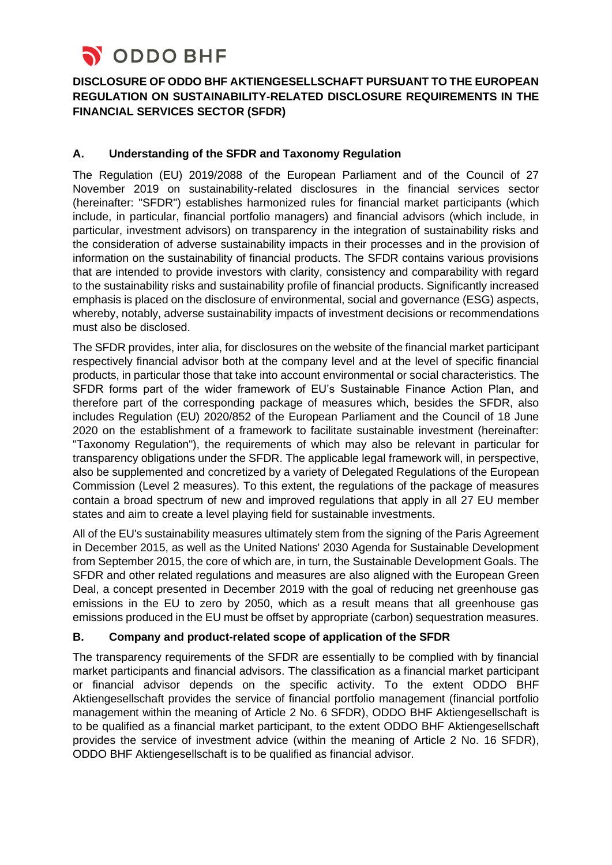

# **DISCLOSURE OF ODDO BHF AKTIENGESELLSCHAFT PURSUANT TO THE EUROPEAN REGULATION ON SUSTAINABILITY-RELATED DISCLOSURE REQUIREMENTS IN THE FINANCIAL SERVICES SECTOR (SFDR)**

### **A. Understanding of the SFDR and Taxonomy Regulation**

The Regulation (EU) 2019/2088 of the European Parliament and of the Council of 27 November 2019 on sustainability-related disclosures in the financial services sector (hereinafter: "SFDR") establishes harmonized rules for financial market participants (which include, in particular, financial portfolio managers) and financial advisors (which include, in particular, investment advisors) on transparency in the integration of sustainability risks and the consideration of adverse sustainability impacts in their processes and in the provision of information on the sustainability of financial products. The SFDR contains various provisions that are intended to provide investors with clarity, consistency and comparability with regard to the sustainability risks and sustainability profile of financial products. Significantly increased emphasis is placed on the disclosure of environmental, social and governance (ESG) aspects, whereby, notably, adverse sustainability impacts of investment decisions or recommendations must also be disclosed.

The SFDR provides, inter alia, for disclosures on the website of the financial market participant respectively financial advisor both at the company level and at the level of specific financial products, in particular those that take into account environmental or social characteristics. The SFDR forms part of the wider framework of EU's Sustainable Finance Action Plan, and therefore part of the corresponding package of measures which, besides the SFDR, also includes Regulation (EU) 2020/852 of the European Parliament and the Council of 18 June 2020 on the establishment of a framework to facilitate sustainable investment (hereinafter: "Taxonomy Regulation"), the requirements of which may also be relevant in particular for transparency obligations under the SFDR. The applicable legal framework will, in perspective, also be supplemented and concretized by a variety of Delegated Regulations of the European Commission (Level 2 measures). To this extent, the regulations of the package of measures contain a broad spectrum of new and improved regulations that apply in all 27 EU member states and aim to create a level playing field for sustainable investments.

All of the EU's sustainability measures ultimately stem from the signing of the Paris Agreement in December 2015, as well as the United Nations' 2030 Agenda for Sustainable Development from September 2015, the core of which are, in turn, the Sustainable Development Goals. The SFDR and other related regulations and measures are also aligned with the European Green Deal, a concept presented in December 2019 with the goal of reducing net greenhouse gas emissions in the EU to zero by 2050, which as a result means that all greenhouse gas emissions produced in the EU must be offset by appropriate (carbon) sequestration measures.

### **B. Company and product-related scope of application of the SFDR**

The transparency requirements of the SFDR are essentially to be complied with by financial market participants and financial advisors. The classification as a financial market participant or financial advisor depends on the specific activity. To the extent ODDO BHF Aktiengesellschaft provides the service of financial portfolio management (financial portfolio management within the meaning of Article 2 No. 6 SFDR), ODDO BHF Aktiengesellschaft is to be qualified as a financial market participant, to the extent ODDO BHF Aktiengesellschaft provides the service of investment advice (within the meaning of Article 2 No. 16 SFDR), ODDO BHF Aktiengesellschaft is to be qualified as financial advisor.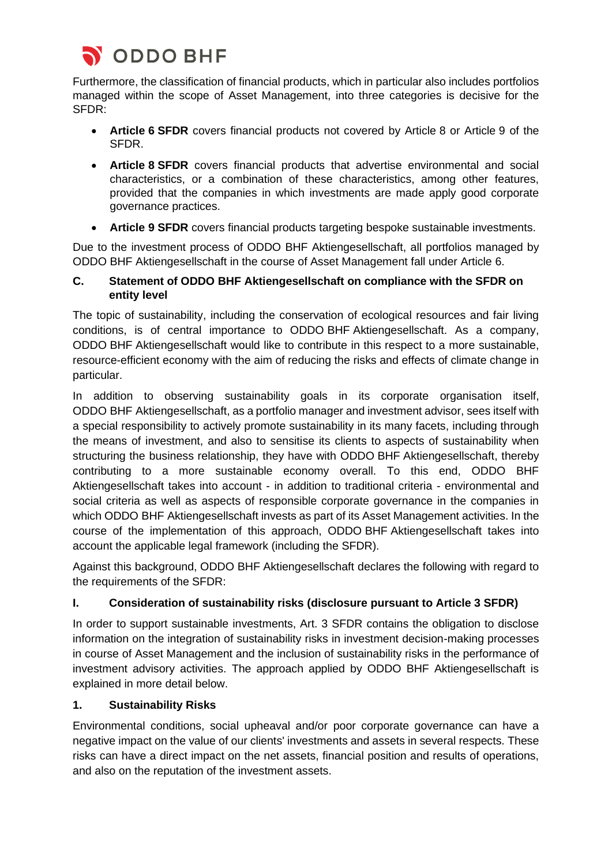

Furthermore, the classification of financial products, which in particular also includes portfolios managed within the scope of Asset Management, into three categories is decisive for the SFDR:

- **Article 6 SFDR** covers financial products not covered by Article 8 or Article 9 of the SFDR.
- **Article 8 SFDR** covers financial products that advertise environmental and social characteristics, or a combination of these characteristics, among other features, provided that the companies in which investments are made apply good corporate governance practices.
- **Article 9 SFDR** covers financial products targeting bespoke sustainable investments.

Due to the investment process of ODDO BHF Aktiengesellschaft, all portfolios managed by ODDO BHF Aktiengesellschaft in the course of Asset Management fall under Article 6.

### **C. Statement of ODDO BHF Aktiengesellschaft on compliance with the SFDR on entity level**

The topic of sustainability, including the conservation of ecological resources and fair living conditions, is of central importance to ODDO BHF Aktiengesellschaft. As a company, ODDO BHF Aktiengesellschaft would like to contribute in this respect to a more sustainable, resource-efficient economy with the aim of reducing the risks and effects of climate change in particular.

In addition to observing sustainability goals in its corporate organisation itself, ODDO BHF Aktiengesellschaft, as a portfolio manager and investment advisor, sees itself with a special responsibility to actively promote sustainability in its many facets, including through the means of investment, and also to sensitise its clients to aspects of sustainability when structuring the business relationship, they have with ODDO BHF Aktiengesellschaft, thereby contributing to a more sustainable economy overall. To this end, ODDO BHF Aktiengesellschaft takes into account - in addition to traditional criteria - environmental and social criteria as well as aspects of responsible corporate governance in the companies in which ODDO BHF Aktiengesellschaft invests as part of its Asset Management activities. In the course of the implementation of this approach, ODDO BHF Aktiengesellschaft takes into account the applicable legal framework (including the SFDR).

Against this background, ODDO BHF Aktiengesellschaft declares the following with regard to the requirements of the SFDR:

### **I. Consideration of sustainability risks (disclosure pursuant to Article 3 SFDR)**

In order to support sustainable investments, Art. 3 SFDR contains the obligation to disclose information on the integration of sustainability risks in investment decision-making processes in course of Asset Management and the inclusion of sustainability risks in the performance of investment advisory activities. The approach applied by ODDO BHF Aktiengesellschaft is explained in more detail below.

### **1. Sustainability Risks**

Environmental conditions, social upheaval and/or poor corporate governance can have a negative impact on the value of our clients' investments and assets in several respects. These risks can have a direct impact on the net assets, financial position and results of operations, and also on the reputation of the investment assets.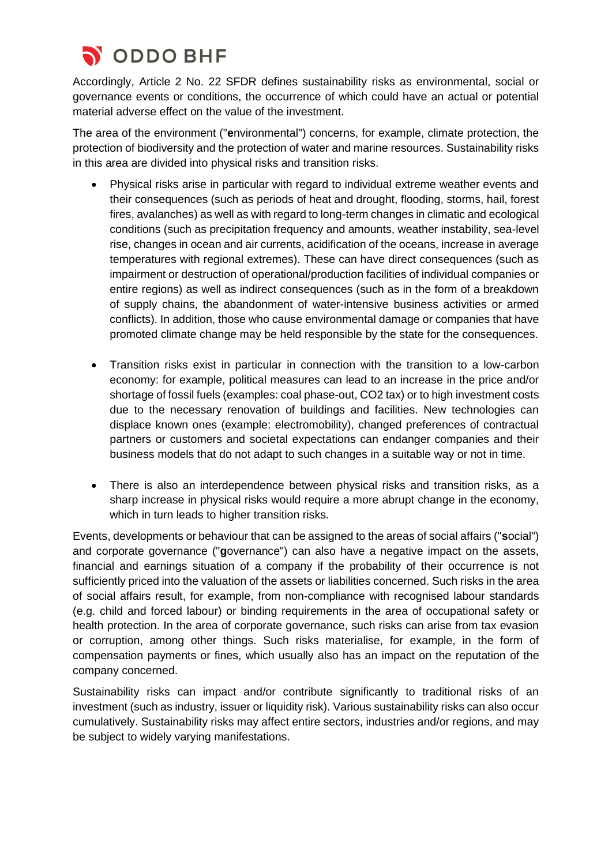

Accordingly, Article 2 No. 22 SFDR defines sustainability risks as environmental, social or governance events or conditions, the occurrence of which could have an actual or potential material adverse effect on the value of the investment.

The area of the environment ("**e**nvironmental") concerns, for example, climate protection, the protection of biodiversity and the protection of water and marine resources. Sustainability risks in this area are divided into physical risks and transition risks.

- Physical risks arise in particular with regard to individual extreme weather events and their consequences (such as periods of heat and drought, flooding, storms, hail, forest fires, avalanches) as well as with regard to long-term changes in climatic and ecological conditions (such as precipitation frequency and amounts, weather instability, sea-level rise, changes in ocean and air currents, acidification of the oceans, increase in average temperatures with regional extremes). These can have direct consequences (such as impairment or destruction of operational/production facilities of individual companies or entire regions) as well as indirect consequences (such as in the form of a breakdown of supply chains, the abandonment of water-intensive business activities or armed conflicts). In addition, those who cause environmental damage or companies that have promoted climate change may be held responsible by the state for the consequences.
- Transition risks exist in particular in connection with the transition to a low-carbon economy: for example, political measures can lead to an increase in the price and/or shortage of fossil fuels (examples: coal phase-out, CO2 tax) or to high investment costs due to the necessary renovation of buildings and facilities. New technologies can displace known ones (example: electromobility), changed preferences of contractual partners or customers and societal expectations can endanger companies and their business models that do not adapt to such changes in a suitable way or not in time.
- There is also an interdependence between physical risks and transition risks, as a sharp increase in physical risks would require a more abrupt change in the economy, which in turn leads to higher transition risks.

Events, developments or behaviour that can be assigned to the areas of social affairs ("**s**ocial") and corporate governance ("**g**overnance") can also have a negative impact on the assets, financial and earnings situation of a company if the probability of their occurrence is not sufficiently priced into the valuation of the assets or liabilities concerned. Such risks in the area of social affairs result, for example, from non-compliance with recognised labour standards (e.g. child and forced labour) or binding requirements in the area of occupational safety or health protection. In the area of corporate governance, such risks can arise from tax evasion or corruption, among other things. Such risks materialise, for example, in the form of compensation payments or fines, which usually also has an impact on the reputation of the company concerned.

Sustainability risks can impact and/or contribute significantly to traditional risks of an investment (such as industry, issuer or liquidity risk). Various sustainability risks can also occur cumulatively. Sustainability risks may affect entire sectors, industries and/or regions, and may be subject to widely varying manifestations.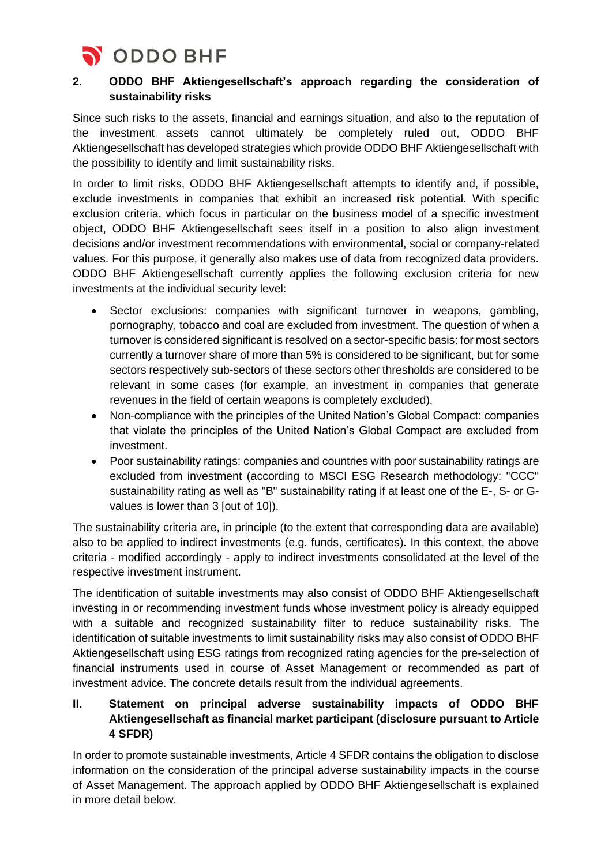

## **2. ODDO BHF Aktiengesellschaft's approach regarding the consideration of sustainability risks**

Since such risks to the assets, financial and earnings situation, and also to the reputation of the investment assets cannot ultimately be completely ruled out, ODDO BHF Aktiengesellschaft has developed strategies which provide ODDO BHF Aktiengesellschaft with the possibility to identify and limit sustainability risks.

In order to limit risks, ODDO BHF Aktiengesellschaft attempts to identify and, if possible, exclude investments in companies that exhibit an increased risk potential. With specific exclusion criteria, which focus in particular on the business model of a specific investment object, ODDO BHF Aktiengesellschaft sees itself in a position to also align investment decisions and/or investment recommendations with environmental, social or company-related values. For this purpose, it generally also makes use of data from recognized data providers. ODDO BHF Aktiengesellschaft currently applies the following exclusion criteria for new investments at the individual security level:

- Sector exclusions: companies with significant turnover in weapons, gambling, pornography, tobacco and coal are excluded from investment. The question of when a turnover is considered significant is resolved on a sector-specific basis: for most sectors currently a turnover share of more than 5% is considered to be significant, but for some sectors respectively sub-sectors of these sectors other thresholds are considered to be relevant in some cases (for example, an investment in companies that generate revenues in the field of certain weapons is completely excluded).
- Non-compliance with the principles of the United Nation's Global Compact: companies that violate the principles of the United Nation's Global Compact are excluded from investment.
- Poor sustainability ratings: companies and countries with poor sustainability ratings are excluded from investment (according to MSCI ESG Research methodology: "CCC" sustainability rating as well as "B" sustainability rating if at least one of the E-, S- or Gvalues is lower than 3 [out of 10]).

The sustainability criteria are, in principle (to the extent that corresponding data are available) also to be applied to indirect investments (e.g. funds, certificates). In this context, the above criteria - modified accordingly - apply to indirect investments consolidated at the level of the respective investment instrument.

The identification of suitable investments may also consist of ODDO BHF Aktiengesellschaft investing in or recommending investment funds whose investment policy is already equipped with a suitable and recognized sustainability filter to reduce sustainability risks. The identification of suitable investments to limit sustainability risks may also consist of ODDO BHF Aktiengesellschaft using ESG ratings from recognized rating agencies for the pre-selection of financial instruments used in course of Asset Management or recommended as part of investment advice. The concrete details result from the individual agreements.

## **II. Statement on principal adverse sustainability impacts of ODDO BHF Aktiengesellschaft as financial market participant (disclosure pursuant to Article 4 SFDR)**

In order to promote sustainable investments, Article 4 SFDR contains the obligation to disclose information on the consideration of the principal adverse sustainability impacts in the course of Asset Management. The approach applied by ODDO BHF Aktiengesellschaft is explained in more detail below.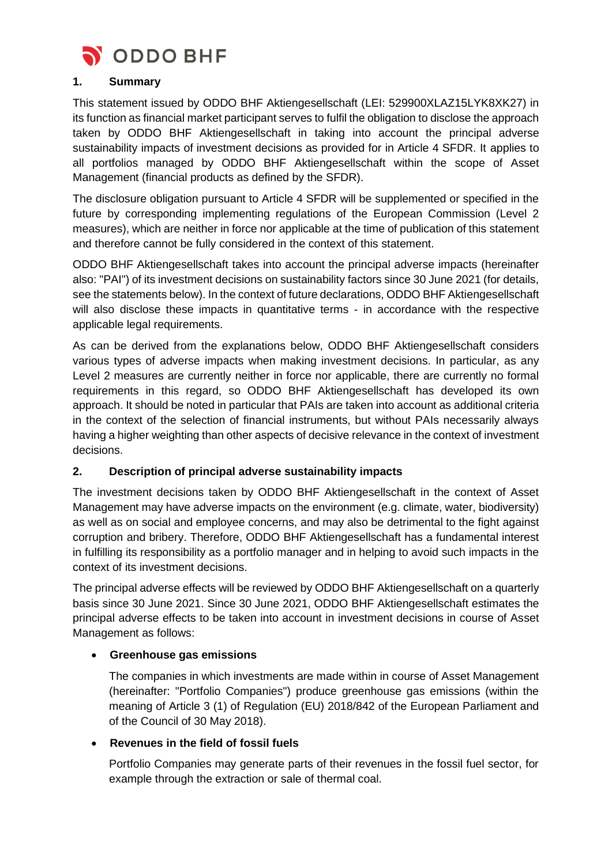

#### **1. Summary**

This statement issued by ODDO BHF Aktiengesellschaft (LEI: 529900XLAZ15LYK8XK27) in its function as financial market participant serves to fulfil the obligation to disclose the approach taken by ODDO BHF Aktiengesellschaft in taking into account the principal adverse sustainability impacts of investment decisions as provided for in Article 4 SFDR. It applies to all portfolios managed by ODDO BHF Aktiengesellschaft within the scope of Asset Management (financial products as defined by the SFDR).

The disclosure obligation pursuant to Article 4 SFDR will be supplemented or specified in the future by corresponding implementing regulations of the European Commission (Level 2 measures), which are neither in force nor applicable at the time of publication of this statement and therefore cannot be fully considered in the context of this statement.

ODDO BHF Aktiengesellschaft takes into account the principal adverse impacts (hereinafter also: "PAI") of its investment decisions on sustainability factors since 30 June 2021 (for details, see the statements below). In the context of future declarations, ODDO BHF Aktiengesellschaft will also disclose these impacts in quantitative terms - in accordance with the respective applicable legal requirements.

As can be derived from the explanations below, ODDO BHF Aktiengesellschaft considers various types of adverse impacts when making investment decisions. In particular, as any Level 2 measures are currently neither in force nor applicable, there are currently no formal requirements in this regard, so ODDO BHF Aktiengesellschaft has developed its own approach. It should be noted in particular that PAIs are taken into account as additional criteria in the context of the selection of financial instruments, but without PAIs necessarily always having a higher weighting than other aspects of decisive relevance in the context of investment decisions.

#### **2. Description of principal adverse sustainability impacts**

The investment decisions taken by ODDO BHF Aktiengesellschaft in the context of Asset Management may have adverse impacts on the environment (e.g. climate, water, biodiversity) as well as on social and employee concerns, and may also be detrimental to the fight against corruption and bribery. Therefore, ODDO BHF Aktiengesellschaft has a fundamental interest in fulfilling its responsibility as a portfolio manager and in helping to avoid such impacts in the context of its investment decisions.

The principal adverse effects will be reviewed by ODDO BHF Aktiengesellschaft on a quarterly basis since 30 June 2021. Since 30 June 2021, ODDO BHF Aktiengesellschaft estimates the principal adverse effects to be taken into account in investment decisions in course of Asset Management as follows:

#### • **Greenhouse gas emissions**

The companies in which investments are made within in course of Asset Management (hereinafter: "Portfolio Companies") produce greenhouse gas emissions (within the meaning of Article 3 (1) of Regulation (EU) 2018/842 of the European Parliament and of the Council of 30 May 2018).

#### • **Revenues in the field of fossil fuels**

Portfolio Companies may generate parts of their revenues in the fossil fuel sector, for example through the extraction or sale of thermal coal.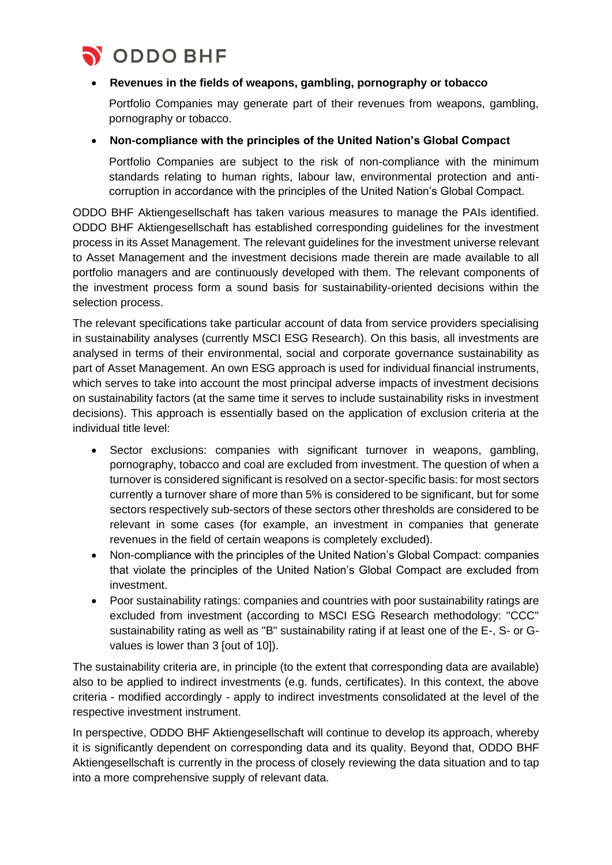

ODDO BHF

#### • **Revenues in the fields of weapons, gambling, pornography or tobacco**

Portfolio Companies may generate part of their revenues from weapons, gambling, pornography or tobacco.

#### • **Non-compliance with the principles of the United Nation's Global Compact**

Portfolio Companies are subject to the risk of non-compliance with the minimum standards relating to human rights, labour law, environmental protection and anticorruption in accordance with the principles of the United Nation's Global Compact.

ODDO BHF Aktiengesellschaft has taken various measures to manage the PAIs identified. ODDO BHF Aktiengesellschaft has established corresponding guidelines for the investment process in its Asset Management. The relevant guidelines for the investment universe relevant to Asset Management and the investment decisions made therein are made available to all portfolio managers and are continuously developed with them. The relevant components of the investment process form a sound basis for sustainability-oriented decisions within the selection process.

The relevant specifications take particular account of data from service providers specialising in sustainability analyses (currently MSCI ESG Research). On this basis, all investments are analysed in terms of their environmental, social and corporate governance sustainability as part of Asset Management. An own ESG approach is used for individual financial instruments, which serves to take into account the most principal adverse impacts of investment decisions on sustainability factors (at the same time it serves to include sustainability risks in investment decisions). This approach is essentially based on the application of exclusion criteria at the individual title level:

- Sector exclusions: companies with significant turnover in weapons, gambling, pornography, tobacco and coal are excluded from investment. The question of when a turnover is considered significant is resolved on a sector-specific basis: for most sectors currently a turnover share of more than 5% is considered to be significant, but for some sectors respectively sub-sectors of these sectors other thresholds are considered to be relevant in some cases (for example, an investment in companies that generate revenues in the field of certain weapons is completely excluded).
- Non-compliance with the principles of the United Nation's Global Compact: companies that violate the principles of the United Nation's Global Compact are excluded from investment.
- Poor sustainability ratings: companies and countries with poor sustainability ratings are excluded from investment (according to MSCI ESG Research methodology: "CCC" sustainability rating as well as "B" sustainability rating if at least one of the E-, S- or Gvalues is lower than 3 [out of 10]).

The sustainability criteria are, in principle (to the extent that corresponding data are available) also to be applied to indirect investments (e.g. funds, certificates). In this context, the above criteria - modified accordingly - apply to indirect investments consolidated at the level of the respective investment instrument.

In perspective, ODDO BHF Aktiengesellschaft will continue to develop its approach, whereby it is significantly dependent on corresponding data and its quality. Beyond that, ODDO BHF Aktiengesellschaft is currently in the process of closely reviewing the data situation and to tap into a more comprehensive supply of relevant data.